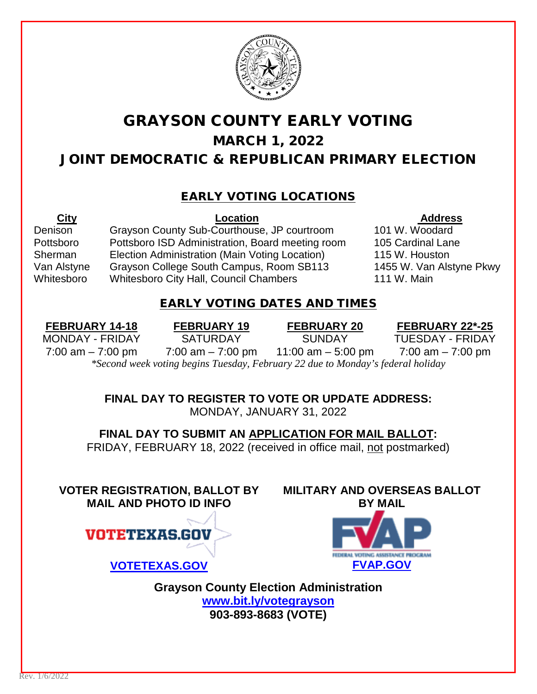

# GRAYSON COUNTY EARLY VOTING MARCH 1, 2022 JOINT DEMOCRATIC & REPUBLICAN PRIMARY ELECTION

### EARLY VOTING LOCATIONS

 $\overline{\phantom{a}}$ 

Denison Grayson County Sub-Courthouse, JP courtroom 101 W. Woodard Pottsboro Pottsboro ISD Administration, Board meeting room 105 Cardinal Lane Sherman Election Administration (Main Voting Location) 115 W. Houston Van Alstyne Grayson College South Campus, Room SB113 1455 W. Van Alstyne Pkwy Whitesboro Whitesboro City Hall, Council Chambers 111 W. Main

**City Location Address**

#### EARLY VOTING DATES AND TIMES

**FEBRUARY 14-18 FEBRUARY 19 FEBRUARY 20 FEBRUARY 22\*-25** MONDAY - FRIDAY SATURDAY SUNDAY TUESDAY - FRIDAY 7:00 am  $-$  7:00 pm  $-$  7:00 am  $-$  7:00 pm  $-$  11:00 am  $-$  5:00 pm  $-$  7:00 am  $-$  7:00 pm *\*Second week voting begins Tuesday, February 22 due to Monday's federal holiday*

> **FINAL DAY TO REGISTER TO VOTE OR UPDATE ADDRESS:** MONDAY, JANUARY 31, 2022

**FINAL DAY TO SUBMIT AN APPLICATION FOR MAIL BALLOT:** FRIDAY, FEBRUARY 18, 2022 (received in office mail, not postmarked)

**VOTER REGISTRATION, BALLOT BY MAIL AND PHOTO ID INFO**



**[VOTETEXAS.GOV](http://www.votetexas.gov/) [FVAP.GOV](http://www.fvap.gov/)**



**MILITARY AND OVERSEAS BALLOT** 

**Grayson County Election Administration [www.bit.ly/votegrayson](http://www.bit.ly/votegrayson) 903-893-8683 (VOTE)**

Rev. 1/6/2022